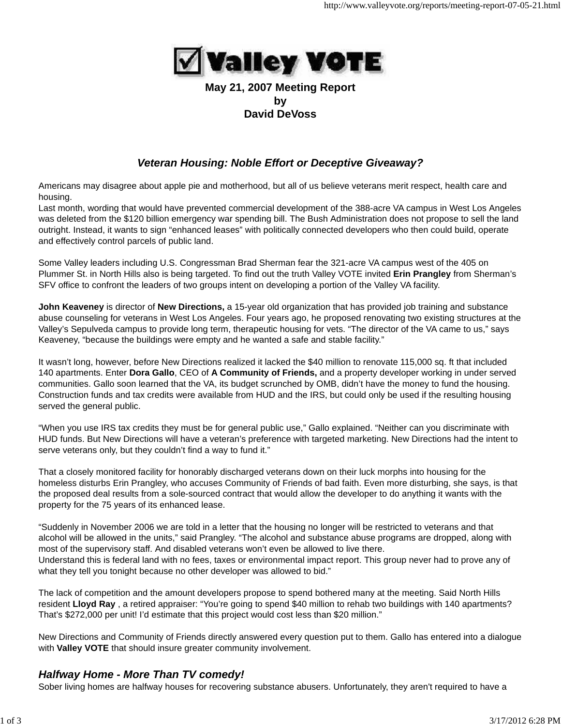

### **May 21, 2007 Meeting Report by David DeVoss**

# *Veteran Housing: Noble Effort or Deceptive Giveaway?*

Americans may disagree about apple pie and motherhood, but all of us believe veterans merit respect, health care and housing.

Last month, wording that would have prevented commercial development of the 388-acre VA campus in West Los Angeles was deleted from the \$120 billion emergency war spending bill. The Bush Administration does not propose to sell the land outright. Instead, it wants to sign "enhanced leases" with politically connected developers who then could build, operate and effectively control parcels of public land.

Some Valley leaders including U.S. Congressman Brad Sherman fear the 321-acre VA campus west of the 405 on Plummer St. in North Hills also is being targeted. To find out the truth Valley VOTE invited **Erin Prangley** from Sherman's SFV office to confront the leaders of two groups intent on developing a portion of the Valley VA facility.

**John Keaveney** is director of **New Directions,** a 15-year old organization that has provided job training and substance abuse counseling for veterans in West Los Angeles. Four years ago, he proposed renovating two existing structures at the Valley's Sepulveda campus to provide long term, therapeutic housing for vets. "The director of the VA came to us," says Keaveney, "because the buildings were empty and he wanted a safe and stable facility."

It wasn't long, however, before New Directions realized it lacked the \$40 million to renovate 115,000 sq. ft that included 140 apartments. Enter **Dora Gallo**, CEO of **A Community of Friends,** and a property developer working in under served communities. Gallo soon learned that the VA, its budget scrunched by OMB, didn't have the money to fund the housing. Construction funds and tax credits were available from HUD and the IRS, but could only be used if the resulting housing served the general public.

"When you use IRS tax credits they must be for general public use," Gallo explained. "Neither can you discriminate with HUD funds. But New Directions will have a veteran's preference with targeted marketing. New Directions had the intent to serve veterans only, but they couldn't find a way to fund it."

That a closely monitored facility for honorably discharged veterans down on their luck morphs into housing for the homeless disturbs Erin Prangley, who accuses Community of Friends of bad faith. Even more disturbing, she says, is that the proposed deal results from a sole-sourced contract that would allow the developer to do anything it wants with the property for the 75 years of its enhanced lease.

"Suddenly in November 2006 we are told in a letter that the housing no longer will be restricted to veterans and that alcohol will be allowed in the units," said Prangley. "The alcohol and substance abuse programs are dropped, along with most of the supervisory staff. And disabled veterans won't even be allowed to live there. Understand this is federal land with no fees, taxes or environmental impact report. This group never had to prove any of what they tell you tonight because no other developer was allowed to bid."

The lack of competition and the amount developers propose to spend bothered many at the meeting. Said North Hills resident **Lloyd Ray** , a retired appraiser: "You're going to spend \$40 million to rehab two buildings with 140 apartments? That's \$272,000 per unit! I'd estimate that this project would cost less than \$20 million."

New Directions and Community of Friends directly answered every question put to them. Gallo has entered into a dialogue with **Valley VOTE** that should insure greater community involvement.

# *Halfway Home - More Than TV comedy!*

Sober living homes are halfway houses for recovering substance abusers. Unfortunately, they aren't required to have a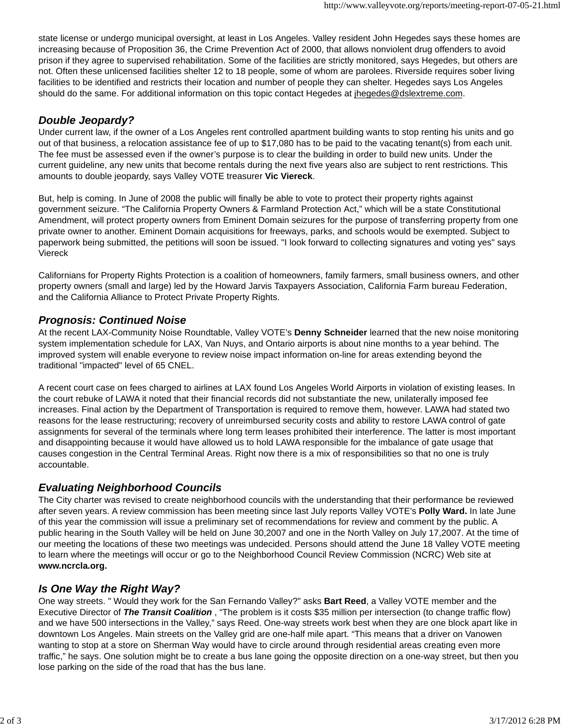state license or undergo municipal oversight, at least in Los Angeles. Valley resident John Hegedes says these homes are increasing because of Proposition 36, the Crime Prevention Act of 2000, that allows nonviolent drug offenders to avoid prison if they agree to supervised rehabilitation. Some of the facilities are strictly monitored, says Hegedes, but others are not. Often these unlicensed facilities shelter 12 to 18 people, some of whom are parolees. Riverside requires sober living facilities to be identified and restricts their location and number of people they can shelter. Hegedes says Los Angeles should do the same. For additional information on this topic contact Hegedes at ihegedes@dslextreme.com.

#### *Double Jeopardy?*

Under current law, if the owner of a Los Angeles rent controlled apartment building wants to stop renting his units and go out of that business, a relocation assistance fee of up to \$17,080 has to be paid to the vacating tenant(s) from each unit. The fee must be assessed even if the owner's purpose is to clear the building in order to build new units. Under the current guideline, any new units that become rentals during the next five years also are subject to rent restrictions. This amounts to double jeopardy, says Valley VOTE treasurer **Vic Viereck**.

But, help is coming. In June of 2008 the public will finally be able to vote to protect their property rights against government seizure. "The California Property Owners & Farmland Protection Act," which will be a state Constitutional Amendment, will protect property owners from Eminent Domain seizures for the purpose of transferring property from one private owner to another. Eminent Domain acquisitions for freeways, parks, and schools would be exempted. Subject to paperwork being submitted, the petitions will soon be issued. "I look forward to collecting signatures and voting yes" says Viereck

Californians for Property Rights Protection is a coalition of homeowners, family farmers, small business owners, and other property owners (small and large) led by the Howard Jarvis Taxpayers Association, California Farm bureau Federation, and the California Alliance to Protect Private Property Rights.

#### *Prognosis: Continued Noise*

At the recent LAX-Community Noise Roundtable, Valley VOTE's **Denny Schneider** learned that the new noise monitoring system implementation schedule for LAX, Van Nuys, and Ontario airports is about nine months to a year behind. The improved system will enable everyone to review noise impact information on-line for areas extending beyond the traditional "impacted" level of 65 CNEL.

A recent court case on fees charged to airlines at LAX found Los Angeles World Airports in violation of existing leases. In the court rebuke of LAWA it noted that their financial records did not substantiate the new, unilaterally imposed fee increases. Final action by the Department of Transportation is required to remove them, however. LAWA had stated two reasons for the lease restructuring; recovery of unreimbursed security costs and ability to restore LAWA control of gate assignments for several of the terminals where long term leases prohibited their interference. The latter is most important and disappointing because it would have allowed us to hold LAWA responsible for the imbalance of gate usage that causes congestion in the Central Terminal Areas. Right now there is a mix of responsibilities so that no one is truly accountable.

## *Evaluating Neighborhood Councils*

The City charter was revised to create neighborhood councils with the understanding that their performance be reviewed after seven years. A review commission has been meeting since last July reports Valley VOTE's **Polly Ward.** In late June of this year the commission will issue a preliminary set of recommendations for review and comment by the public. A public hearing in the South Valley will be held on June 30,2007 and one in the North Valley on July 17,2007. At the time of our meeting the locations of these two meetings was undecided. Persons should attend the June 18 Valley VOTE meeting to learn where the meetings will occur or go to the Neighborhood Council Review Commission (NCRC) Web site at **www.ncrcla.org.**

## *Is One Way the Right Way?*

One way streets. " Would they work for the San Fernando Valley?" asks **Bart Reed**, a Valley VOTE member and the Executive Director of *The Transit Coalition* , "The problem is it costs \$35 million per intersection (to change traffic flow) and we have 500 intersections in the Valley," says Reed. One-way streets work best when they are one block apart like in downtown Los Angeles. Main streets on the Valley grid are one-half mile apart. "This means that a driver on Vanowen wanting to stop at a store on Sherman Way would have to circle around through residential areas creating even more traffic," he says. One solution might be to create a bus lane going the opposite direction on a one-way street, but then you lose parking on the side of the road that has the bus lane.